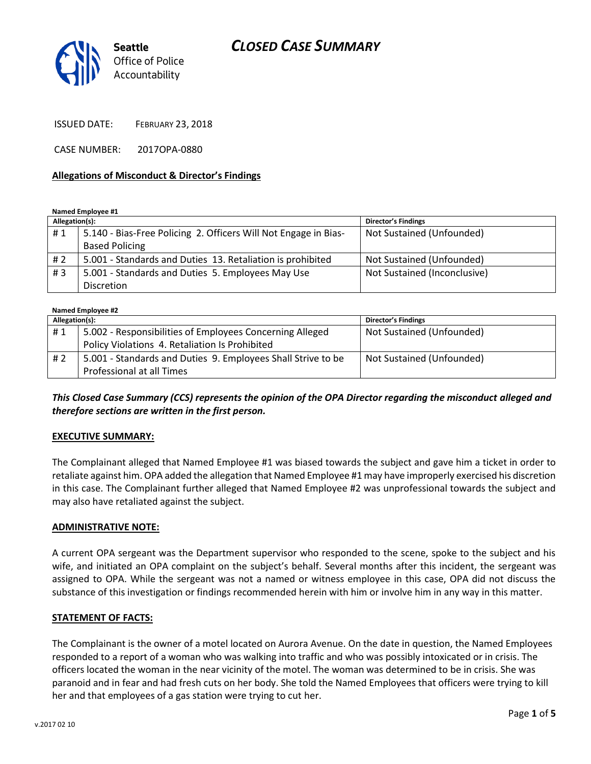# *CLOSED CASE SUMMARY*



ISSUED DATE: FEBRUARY 23, 2018

CASE NUMBER: 2017OPA-0880

#### **Allegations of Misconduct & Director's Findings**

**Named Employee #1**

| Allegation(s): |                                                                 | <b>Director's Findings</b>   |
|----------------|-----------------------------------------------------------------|------------------------------|
| #1             | 5.140 - Bias-Free Policing 2. Officers Will Not Engage in Bias- | Not Sustained (Unfounded)    |
|                | <b>Based Policing</b>                                           |                              |
| # 2            | 5.001 - Standards and Duties 13. Retaliation is prohibited      | Not Sustained (Unfounded)    |
| #3             | 5.001 - Standards and Duties 5. Employees May Use               | Not Sustained (Inconclusive) |
|                | <b>Discretion</b>                                               |                              |

| Named Employee #2 |                                                              |                            |  |
|-------------------|--------------------------------------------------------------|----------------------------|--|
| Allegation(s):    |                                                              | <b>Director's Findings</b> |  |
| #1                | 5.002 - Responsibilities of Employees Concerning Alleged     | Not Sustained (Unfounded)  |  |
|                   | Policy Violations 4. Retaliation Is Prohibited               |                            |  |
| #2                | 5.001 - Standards and Duties 9. Employees Shall Strive to be | Not Sustained (Unfounded)  |  |
|                   | Professional at all Times                                    |                            |  |

*This Closed Case Summary (CCS) represents the opinion of the OPA Director regarding the misconduct alleged and therefore sections are written in the first person.* 

### **EXECUTIVE SUMMARY:**

The Complainant alleged that Named Employee #1 was biased towards the subject and gave him a ticket in order to retaliate against him. OPA added the allegation that Named Employee #1 may have improperly exercised his discretion in this case. The Complainant further alleged that Named Employee #2 was unprofessional towards the subject and may also have retaliated against the subject.

### **ADMINISTRATIVE NOTE:**

A current OPA sergeant was the Department supervisor who responded to the scene, spoke to the subject and his wife, and initiated an OPA complaint on the subject's behalf. Several months after this incident, the sergeant was assigned to OPA. While the sergeant was not a named or witness employee in this case, OPA did not discuss the substance of this investigation or findings recommended herein with him or involve him in any way in this matter.

### **STATEMENT OF FACTS:**

The Complainant is the owner of a motel located on Aurora Avenue. On the date in question, the Named Employees responded to a report of a woman who was walking into traffic and who was possibly intoxicated or in crisis. The officers located the woman in the near vicinity of the motel. The woman was determined to be in crisis. She was paranoid and in fear and had fresh cuts on her body. She told the Named Employees that officers were trying to kill her and that employees of a gas station were trying to cut her.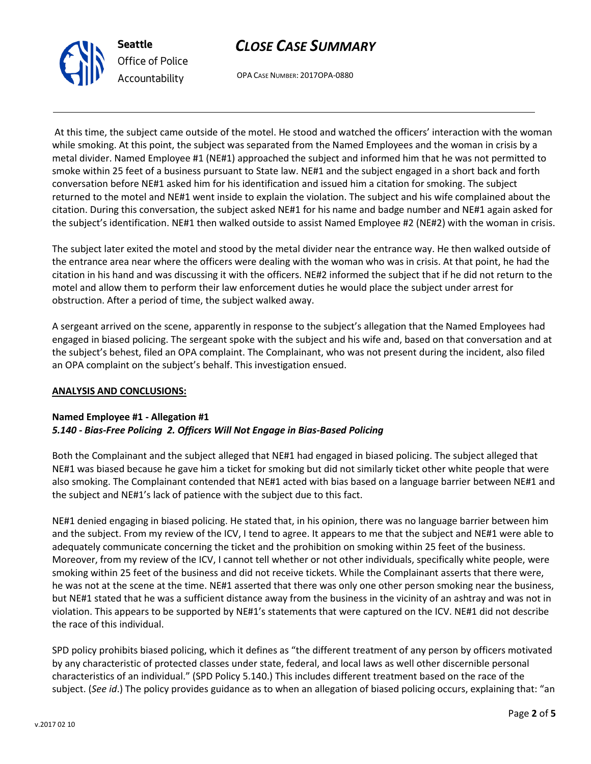



OPA CASE NUMBER: 2017OPA-0880

At this time, the subject came outside of the motel. He stood and watched the officers' interaction with the woman while smoking. At this point, the subject was separated from the Named Employees and the woman in crisis by a metal divider. Named Employee #1 (NE#1) approached the subject and informed him that he was not permitted to smoke within 25 feet of a business pursuant to State law. NE#1 and the subject engaged in a short back and forth conversation before NE#1 asked him for his identification and issued him a citation for smoking. The subject returned to the motel and NE#1 went inside to explain the violation. The subject and his wife complained about the citation. During this conversation, the subject asked NE#1 for his name and badge number and NE#1 again asked for the subject's identification. NE#1 then walked outside to assist Named Employee #2 (NE#2) with the woman in crisis.

The subject later exited the motel and stood by the metal divider near the entrance way. He then walked outside of the entrance area near where the officers were dealing with the woman who was in crisis. At that point, he had the citation in his hand and was discussing it with the officers. NE#2 informed the subject that if he did not return to the motel and allow them to perform their law enforcement duties he would place the subject under arrest for obstruction. After a period of time, the subject walked away.

A sergeant arrived on the scene, apparently in response to the subject's allegation that the Named Employees had engaged in biased policing. The sergeant spoke with the subject and his wife and, based on that conversation and at the subject's behest, filed an OPA complaint. The Complainant, who was not present during the incident, also filed an OPA complaint on the subject's behalf. This investigation ensued.

### **ANALYSIS AND CONCLUSIONS:**

## **Named Employee #1 - Allegation #1** *5.140 - Bias-Free Policing 2. Officers Will Not Engage in Bias-Based Policing*

Both the Complainant and the subject alleged that NE#1 had engaged in biased policing. The subject alleged that NE#1 was biased because he gave him a ticket for smoking but did not similarly ticket other white people that were also smoking. The Complainant contended that NE#1 acted with bias based on a language barrier between NE#1 and the subject and NE#1's lack of patience with the subject due to this fact.

NE#1 denied engaging in biased policing. He stated that, in his opinion, there was no language barrier between him and the subject. From my review of the ICV, I tend to agree. It appears to me that the subject and NE#1 were able to adequately communicate concerning the ticket and the prohibition on smoking within 25 feet of the business. Moreover, from my review of the ICV, I cannot tell whether or not other individuals, specifically white people, were smoking within 25 feet of the business and did not receive tickets. While the Complainant asserts that there were, he was not at the scene at the time. NE#1 asserted that there was only one other person smoking near the business, but NE#1 stated that he was a sufficient distance away from the business in the vicinity of an ashtray and was not in violation. This appears to be supported by NE#1's statements that were captured on the ICV. NE#1 did not describe the race of this individual.

SPD policy prohibits biased policing, which it defines as "the different treatment of any person by officers motivated by any characteristic of protected classes under state, federal, and local laws as well other discernible personal characteristics of an individual." (SPD Policy 5.140.) This includes different treatment based on the race of the subject. (*See id*.) The policy provides guidance as to when an allegation of biased policing occurs, explaining that: "an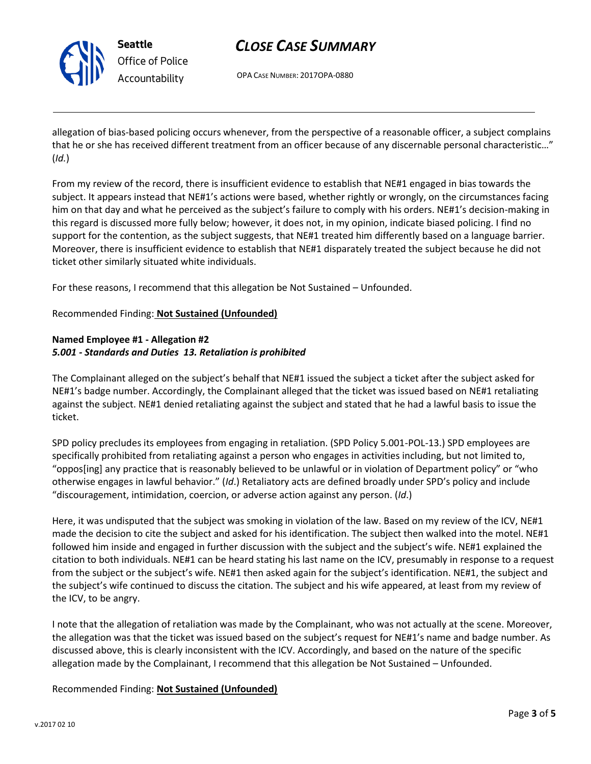

**Seattle** *Office of Police Accountability*

# *CLOSE CASE SUMMARY*

OPA CASE NUMBER: 2017OPA-0880

allegation of bias-based policing occurs whenever, from the perspective of a reasonable officer, a subject complains that he or she has received different treatment from an officer because of any discernable personal characteristic…" (*Id.*)

From my review of the record, there is insufficient evidence to establish that NE#1 engaged in bias towards the subject. It appears instead that NE#1's actions were based, whether rightly or wrongly, on the circumstances facing him on that day and what he perceived as the subject's failure to comply with his orders. NE#1's decision-making in this regard is discussed more fully below; however, it does not, in my opinion, indicate biased policing. I find no support for the contention, as the subject suggests, that NE#1 treated him differently based on a language barrier. Moreover, there is insufficient evidence to establish that NE#1 disparately treated the subject because he did not ticket other similarly situated white individuals.

For these reasons, I recommend that this allegation be Not Sustained – Unfounded.

## Recommended Finding: **Not Sustained (Unfounded)**

## **Named Employee #1 - Allegation #2** *5.001 - Standards and Duties 13. Retaliation is prohibited*

The Complainant alleged on the subject's behalf that NE#1 issued the subject a ticket after the subject asked for NE#1's badge number. Accordingly, the Complainant alleged that the ticket was issued based on NE#1 retaliating against the subject. NE#1 denied retaliating against the subject and stated that he had a lawful basis to issue the ticket.

SPD policy precludes its employees from engaging in retaliation. (SPD Policy 5.001-POL-13.) SPD employees are specifically prohibited from retaliating against a person who engages in activities including, but not limited to, "oppos[ing] any practice that is reasonably believed to be unlawful or in violation of Department policy" or "who otherwise engages in lawful behavior." (*Id*.) Retaliatory acts are defined broadly under SPD's policy and include "discouragement, intimidation, coercion, or adverse action against any person. (*Id*.)

Here, it was undisputed that the subject was smoking in violation of the law. Based on my review of the ICV, NE#1 made the decision to cite the subject and asked for his identification. The subject then walked into the motel. NE#1 followed him inside and engaged in further discussion with the subject and the subject's wife. NE#1 explained the citation to both individuals. NE#1 can be heard stating his last name on the ICV, presumably in response to a request from the subject or the subject's wife. NE#1 then asked again for the subject's identification. NE#1, the subject and the subject's wife continued to discuss the citation. The subject and his wife appeared, at least from my review of the ICV, to be angry.

I note that the allegation of retaliation was made by the Complainant, who was not actually at the scene. Moreover, the allegation was that the ticket was issued based on the subject's request for NE#1's name and badge number. As discussed above, this is clearly inconsistent with the ICV. Accordingly, and based on the nature of the specific allegation made by the Complainant, I recommend that this allegation be Not Sustained – Unfounded.

Recommended Finding: **Not Sustained (Unfounded)**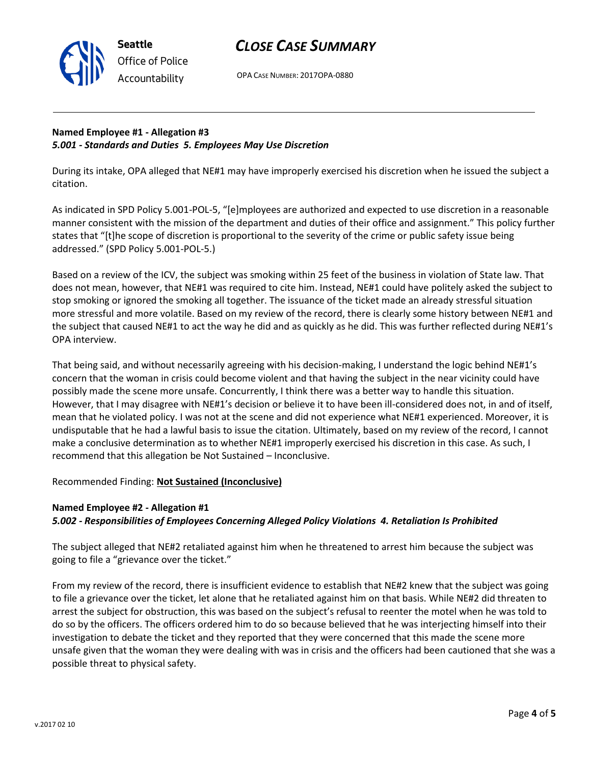

# *CLOSE CASE SUMMARY*

OPA CASE NUMBER: 2017OPA-0880

## **Named Employee #1 - Allegation #3** *5.001 - Standards and Duties 5. Employees May Use Discretion*

During its intake, OPA alleged that NE#1 may have improperly exercised his discretion when he issued the subject a citation.

As indicated in SPD Policy 5.001-POL-5, "[e]mployees are authorized and expected to use discretion in a reasonable manner consistent with the mission of the department and duties of their office and assignment." This policy further states that "[t]he scope of discretion is proportional to the severity of the crime or public safety issue being addressed." (SPD Policy 5.001-POL-5.)

Based on a review of the ICV, the subject was smoking within 25 feet of the business in violation of State law. That does not mean, however, that NE#1 was required to cite him. Instead, NE#1 could have politely asked the subject to stop smoking or ignored the smoking all together. The issuance of the ticket made an already stressful situation more stressful and more volatile. Based on my review of the record, there is clearly some history between NE#1 and the subject that caused NE#1 to act the way he did and as quickly as he did. This was further reflected during NE#1's OPA interview.

That being said, and without necessarily agreeing with his decision-making, I understand the logic behind NE#1's concern that the woman in crisis could become violent and that having the subject in the near vicinity could have possibly made the scene more unsafe. Concurrently, I think there was a better way to handle this situation. However, that I may disagree with NE#1's decision or believe it to have been ill-considered does not, in and of itself, mean that he violated policy. I was not at the scene and did not experience what NE#1 experienced. Moreover, it is undisputable that he had a lawful basis to issue the citation. Ultimately, based on my review of the record, I cannot make a conclusive determination as to whether NE#1 improperly exercised his discretion in this case. As such, I recommend that this allegation be Not Sustained – Inconclusive.

# Recommended Finding: **Not Sustained (Inconclusive)**

# **Named Employee #2 - Allegation #1** *5.002 - Responsibilities of Employees Concerning Alleged Policy Violations 4. Retaliation Is Prohibited*

The subject alleged that NE#2 retaliated against him when he threatened to arrest him because the subject was going to file a "grievance over the ticket."

From my review of the record, there is insufficient evidence to establish that NE#2 knew that the subject was going to file a grievance over the ticket, let alone that he retaliated against him on that basis. While NE#2 did threaten to arrest the subject for obstruction, this was based on the subject's refusal to reenter the motel when he was told to do so by the officers. The officers ordered him to do so because believed that he was interjecting himself into their investigation to debate the ticket and they reported that they were concerned that this made the scene more unsafe given that the woman they were dealing with was in crisis and the officers had been cautioned that she was a possible threat to physical safety.